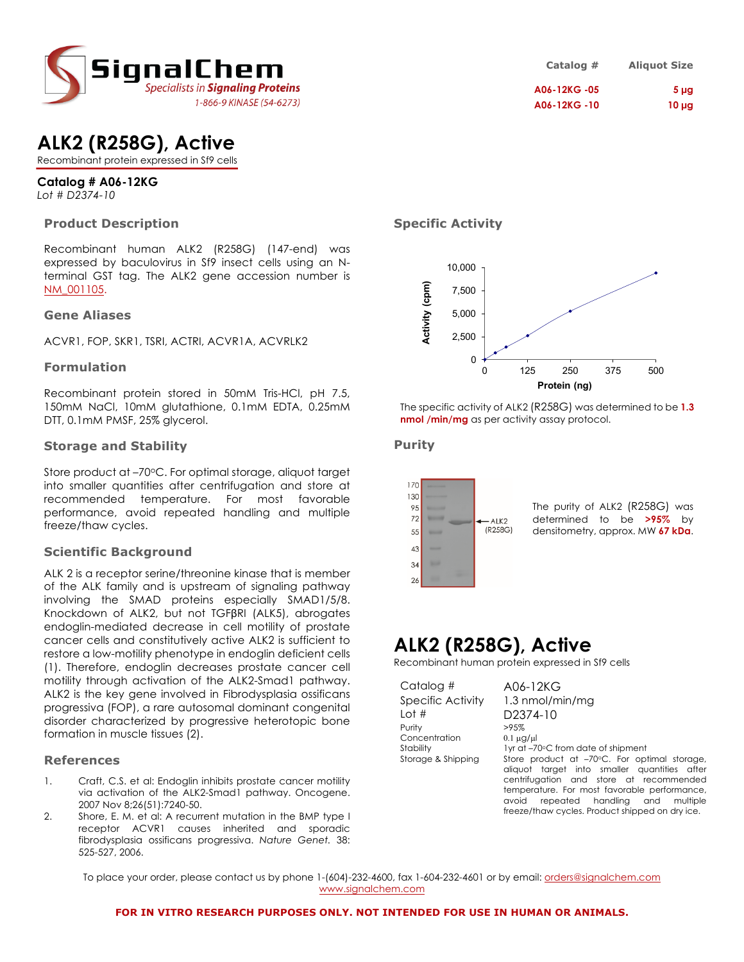

| Catalog #    | <b>Aliquot Size</b> |
|--------------|---------------------|
| A06-12KG -05 | 5 <sub>µg</sub>     |
| A06-12KG-10  | $10 \mu g$          |

# **ALK2 (R258G), Active**

Recombinant protein expressed in Sf9 cells

# **Catalog # A06-12KG**

*Lot # D2374-10*

## **Product Description**

Recombinant human ALK2 (R258G) (147-end) was expressed by baculovirus in Sf9 insect cells using an Nterminal GST tag. The ALK2 gene accession number is NM\_001105.

### **Gene Aliases**

ACVR1, FOP, SKR1, TSRI, ACTRI, ACVR1A, ACVRLK2

### **Formulation**

Recombinant protein stored in 50mM Tris-HCl, pH 7.5, 150mM NaCl, 10mM glutathione, 0.1mM EDTA, 0.25mM DTT, 0.1mM PMSF, 25% glycerol.

### **Storage and Stability**

Store product at -70°C. For optimal storage, aliquot target into smaller quantities after centrifugation and store at recommended temperature. For most favorable performance, avoid repeated handling and multiple freeze/thaw cycles.

## **Scientific Background**

ALK 2 is a receptor serine/threonine kinase that is member of the ALK family and is upstream of signaling pathway involving the SMAD proteins especially SMAD1/5/8. Knockdown of ALK2, but not TGFβRI (ALK5), abrogates endoglin-mediated decrease in cell motility of prostate cancer cells and constitutively active ALK2 is sufficient to restore a low-motility phenotype in endoglin deficient cells (1). Therefore, endoglin decreases prostate cancer cell motility through activation of the ALK2-Smad1 pathway. ALK2 is the key gene involved in Fibrodysplasia ossificans progressiva (FOP), a rare autosomal dominant congenital disorder characterized by progressive heterotopic bone formation in muscle tissues (2).

### **References**

- 1. Craft, C.S. et al: Endoglin inhibits prostate cancer motility via activation of the ALK2-Smad1 pathway. Oncogene. 2007 Nov 8;26(51):7240-50.
- 2. Shore, E. M. et al: A recurrent mutation in the BMP type I receptor ACVR1 causes inherited and sporadic fibrodysplasia ossificans progressiva. *Nature Genet.* 38: 525-527, 2006.

# **Specific Activity**



The specific activity of ALK2 (R258G) was determined to be **1.3 nmol /min/mg** as per activity assay protocol.

### **Purity**



The purity of ALK2 (R258G) was determined to be **>95%** by densitometry, approx. MW **67 kDa**.

# **ALK2 (R258G), Active**

Recombinant human protein expressed in Sf9 cells

Catalog # A06-12KG Lot # D2374-10 Purity Concentration 0.1 µg/µl

Specific Activity 1.3 nmol/min/mg Stability 1yr at –70°C from date of shipment<br>Storage & Shipping Store product at –70°C. For op-Store product at –70°C. For optimal storage, aliquot target into smaller quantities after centrifugation and store at recommended temperature. For most favorable performance, avoid repeated handling and multiple freeze/thaw cycles. Product shipped on dry ice.

To place your order, please contact us by phone 1-(604)-232-4600, fax 1-604-232-4601 or by email: orders@signalchem.com www.signalchem.com